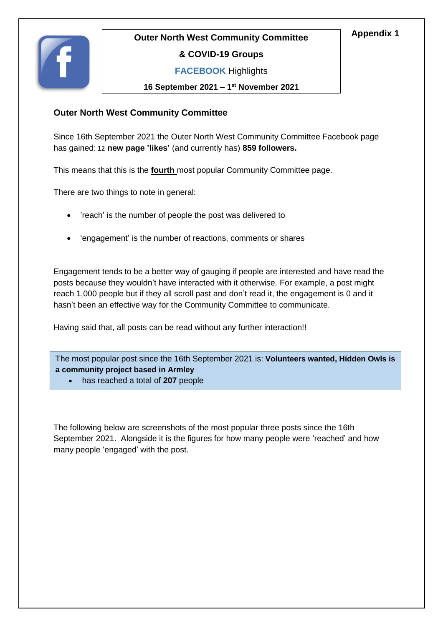



#### **& COVID-19 Groups**

**FACEBOOK** Highlights

**16 September 2021 – 1 st November 2021**

#### **Outer North West Community Committee**

Since 16th September 2021 the Outer North West Community Committee Facebook page has gained: 12 **new page 'likes'** (and currently has) **859 followers.**

This means that this is the **fourth** most popular Community Committee page.

There are two things to note in general:

- 'reach' is the number of people the post was delivered to
- 'engagement' is the number of reactions, comments or shares

Engagement tends to be a better way of gauging if people are interested and have read the posts because they wouldn't have interacted with it otherwise. For example, a post might reach 1,000 people but if they all scroll past and don't read it, the engagement is 0 and it hasn't been an effective way for the Community Committee to communicate.

Having said that, all posts can be read without any further interaction!!

The most popular post since the 16th September 2021 is: **Volunteers wanted, Hidden Owls is a community project based in Armley**

has reached a total of **207** people

The following below are screenshots of the most popular three posts since the 16th September 2021. Alongside it is the figures for how many people were 'reached' and how many people 'engaged' with the post.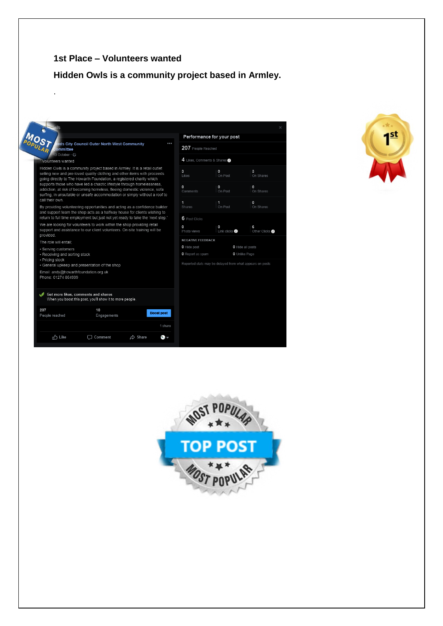### **1st Place – Volunteers wanted**

.

# **Hidden Owls is a community project based in Armley.**

|                                                                                                                                                                                                                                 | Performance for your post              |                                                          |                           |
|---------------------------------------------------------------------------------------------------------------------------------------------------------------------------------------------------------------------------------|----------------------------------------|----------------------------------------------------------|---------------------------|
| eds City Council Outer North West Community<br><br>Committee                                                                                                                                                                    | 207 People Reached                     |                                                          |                           |
| 13 October · C<br>"Volunteers wanted                                                                                                                                                                                            | 4 Likes, Comments & Shares             |                                                          |                           |
| Hidden Owls is a community project based in Armley. It is a retail outlet<br>selling new and pre-loved quality clothing and other items with proceeds<br>going directly to The Howarth Foundation, a registered charity which   | 3<br>I ikes                            | 0<br>On Post                                             | 3<br>On Shares            |
| supports those who have led a chaotic lifestyle through homelessness.<br>addiction, at risk of becoming homeless, fleeing domestic violence, sofa<br>surfing, in unsuitable or unsafe accommodation or simply without a roof to | $\circ$<br>Comments                    | $\circ$<br>On Post                                       | $\mathbf 0$<br>On Shares  |
| call their own.<br>By providing volunteering opportunities and acting as a confidence builder<br>and support team the shop acts as a halfway house for clients wishing to                                                       | $\mathbf{1}$<br>Shares                 | $\mathbf{1}$<br>On Post                                  | $\mathbf{0}$<br>On Shares |
| return to full time employment but just not yet ready to take the 'next step.'                                                                                                                                                  | $6$ Post Clicks                        |                                                          |                           |
| We are looking for volunteers to work within the shop providing retail<br>support and assistance to our client volunteers. On-site training will be<br>provided.                                                                | $\Omega$<br>Photo views                | $\circ$<br>Link clicks @                                 | 6<br>Other Clicks @       |
| The role will entail:                                                                                                                                                                                                           | <b>NEGATIVE FEEDBACK</b>               |                                                          |                           |
| • Serving customers<br>• Receiving and sorting stock<br>• Pricing stock                                                                                                                                                         | <b>0</b> Hide post<br>O Report as spam | O Hide all posts<br><b>0</b> Unlike Page                 |                           |
| • General upkeep and presentation of the shop                                                                                                                                                                                   |                                        | Reported stats may be delayed from what appears on posts |                           |
| Email: andy@howarthfoundation.org.uk<br>Phone: 01274 864999<br>Get more likes, comments and shares                                                                                                                              |                                        |                                                          |                           |
| When you boost this post, you'll show it to more people.                                                                                                                                                                        |                                        |                                                          |                           |
| 207<br>10<br><b>Boost post</b><br>People reached<br>Engagements                                                                                                                                                                 |                                        |                                                          |                           |
| 1 share                                                                                                                                                                                                                         |                                        |                                                          |                           |
| n <sup>1</sup> Like<br>$\triangle$ Share<br>$\Box$ Comment<br>$\bullet$ $\bullet$                                                                                                                                               |                                        |                                                          |                           |



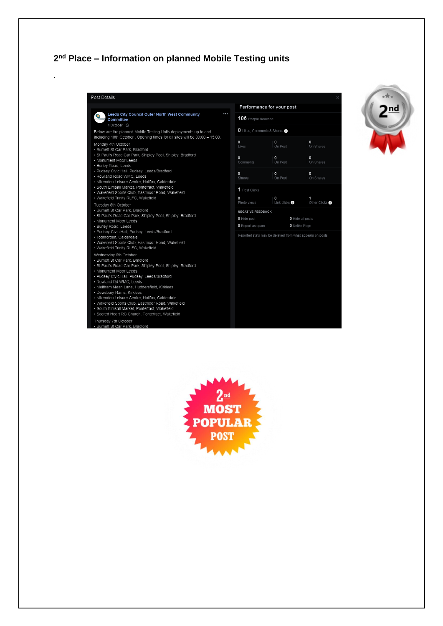#### 2<sup>nd</sup> Place - Information on planned Mobile Testing units

l,





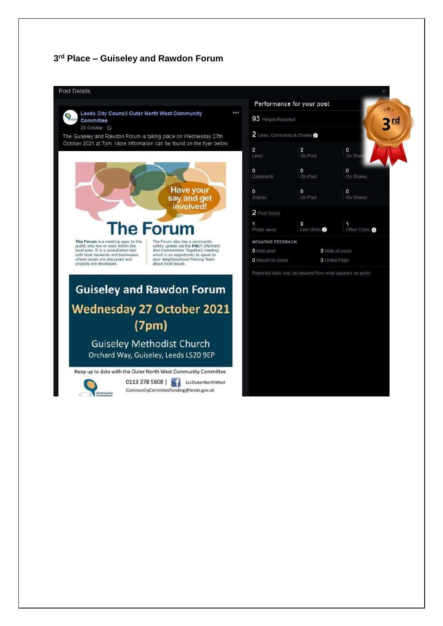#### 3rd Place - Guiseley and Rawdon Forum

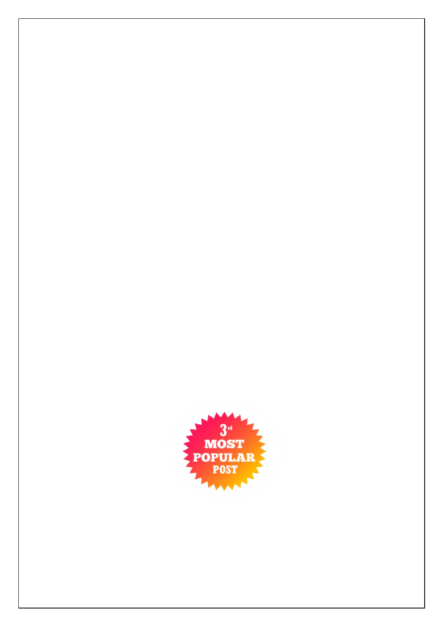